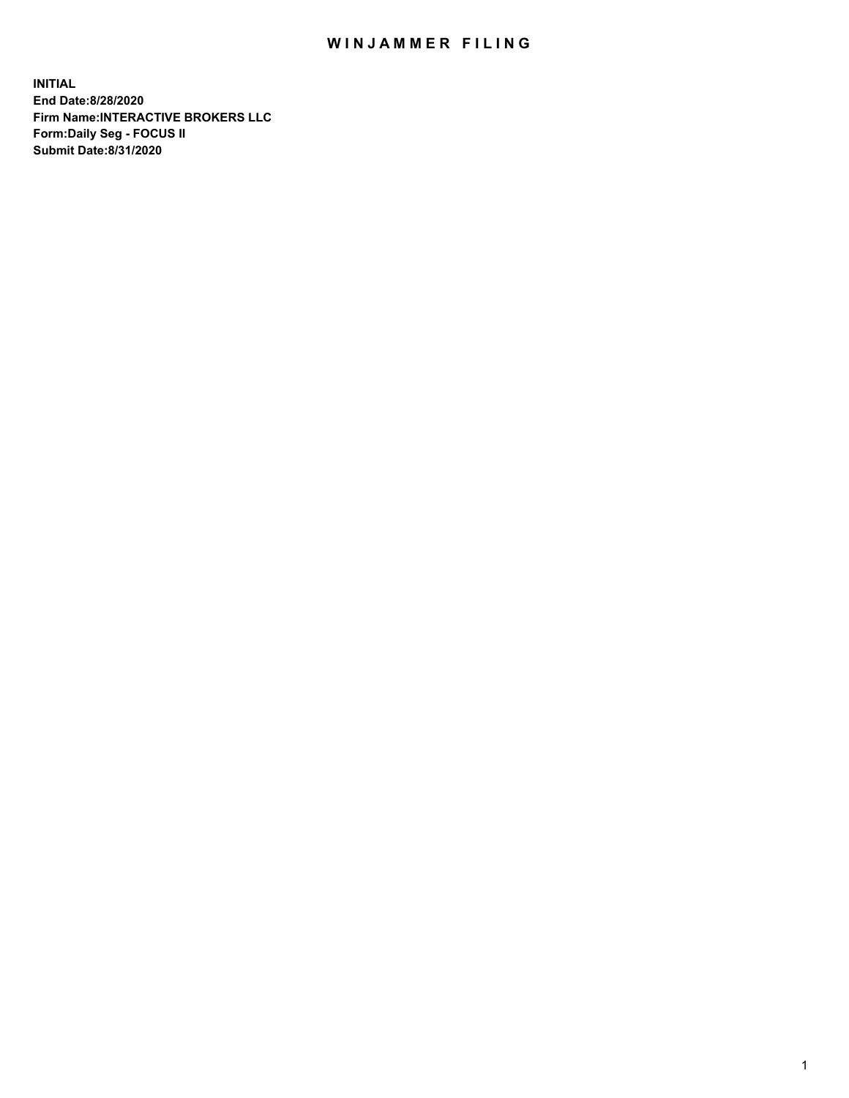## WIN JAMMER FILING

**INITIAL End Date:8/28/2020 Firm Name:INTERACTIVE BROKERS LLC Form:Daily Seg - FOCUS II Submit Date:8/31/2020**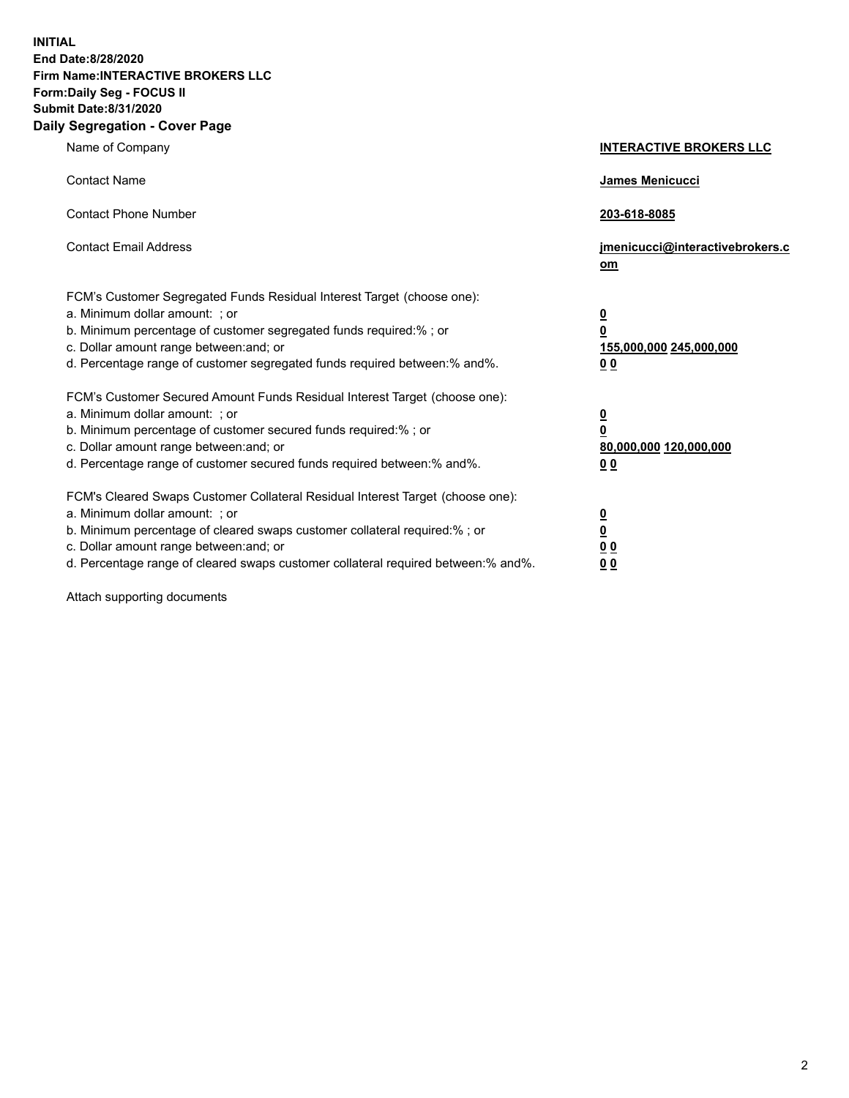**INITIAL End Date:8/28/2020 Firm Name:INTERACTIVE BROKERS LLC Form:Daily Seg - FOCUS II Submit Date:8/31/2020 Daily Segregation - Cover Page**

| Name of Company                                                                                                                                                                                                                                                                                                                | <b>INTERACTIVE BROKERS LLC</b>                                                   |
|--------------------------------------------------------------------------------------------------------------------------------------------------------------------------------------------------------------------------------------------------------------------------------------------------------------------------------|----------------------------------------------------------------------------------|
| <b>Contact Name</b>                                                                                                                                                                                                                                                                                                            | James Menicucci                                                                  |
| <b>Contact Phone Number</b>                                                                                                                                                                                                                                                                                                    | 203-618-8085                                                                     |
| <b>Contact Email Address</b>                                                                                                                                                                                                                                                                                                   | jmenicucci@interactivebrokers.c<br>om                                            |
| FCM's Customer Segregated Funds Residual Interest Target (choose one):<br>a. Minimum dollar amount: ; or<br>b. Minimum percentage of customer segregated funds required:% ; or<br>c. Dollar amount range between: and; or<br>d. Percentage range of customer segregated funds required between:% and%.                         | <u>0</u><br>$\overline{\mathbf{0}}$<br>155,000,000 245,000,000<br>0 <sub>0</sub> |
| FCM's Customer Secured Amount Funds Residual Interest Target (choose one):<br>a. Minimum dollar amount: ; or<br>b. Minimum percentage of customer secured funds required:% ; or<br>c. Dollar amount range between: and; or<br>d. Percentage range of customer secured funds required between:% and%.                           | <u>0</u><br>$\overline{\mathbf{0}}$<br>80,000,000 120,000,000<br>0 <sub>0</sub>  |
| FCM's Cleared Swaps Customer Collateral Residual Interest Target (choose one):<br>a. Minimum dollar amount: ; or<br>b. Minimum percentage of cleared swaps customer collateral required:% ; or<br>c. Dollar amount range between: and; or<br>d. Percentage range of cleared swaps customer collateral required between:% and%. | <u>0</u><br>$\underline{\mathbf{0}}$<br>0 <sub>0</sub><br>0 <sub>0</sub>         |

Attach supporting documents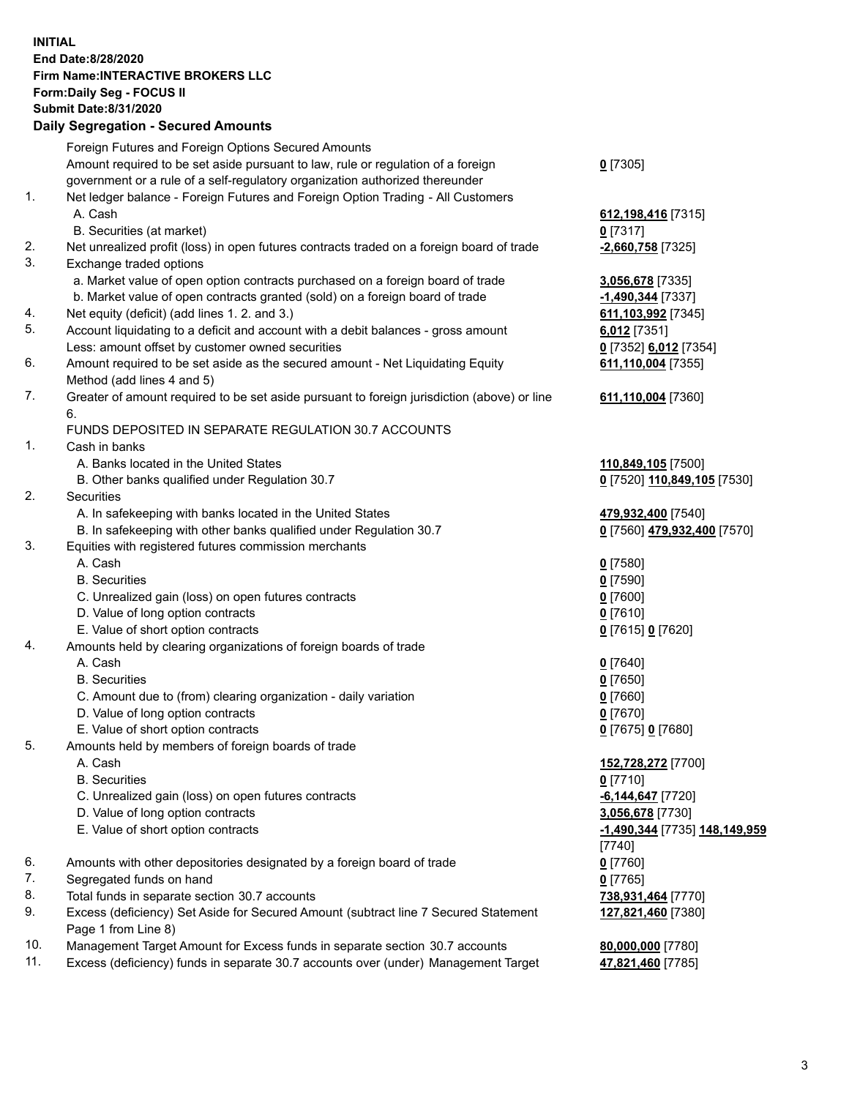**INITIAL End Date:8/28/2020 Firm Name:INTERACTIVE BROKERS LLC Form:Daily Seg - FOCUS II Submit Date:8/31/2020 Daily Segregation - Secured Amounts**

|     | Daily Segregation - Secured Alliounts                                                       |                               |
|-----|---------------------------------------------------------------------------------------------|-------------------------------|
|     | Foreign Futures and Foreign Options Secured Amounts                                         |                               |
|     | Amount required to be set aside pursuant to law, rule or regulation of a foreign            | $0$ [7305]                    |
|     | government or a rule of a self-regulatory organization authorized thereunder                |                               |
| 1.  | Net ledger balance - Foreign Futures and Foreign Option Trading - All Customers             |                               |
|     | A. Cash                                                                                     | 612, 198, 416 [7315]          |
|     | B. Securities (at market)                                                                   | $0$ [7317]                    |
| 2.  | Net unrealized profit (loss) in open futures contracts traded on a foreign board of trade   | -2,660,758 [7325]             |
| 3.  | Exchange traded options                                                                     |                               |
|     | a. Market value of open option contracts purchased on a foreign board of trade              | 3,056,678 [7335]              |
|     | b. Market value of open contracts granted (sold) on a foreign board of trade                | -1,490,344 [7337]             |
| 4.  | Net equity (deficit) (add lines 1. 2. and 3.)                                               | 611,103,992 [7345]            |
| 5.  | Account liquidating to a deficit and account with a debit balances - gross amount           | $6,012$ [7351]                |
|     | Less: amount offset by customer owned securities                                            | 0 [7352] 6,012 [7354]         |
| 6.  | Amount required to be set aside as the secured amount - Net Liquidating Equity              | 611,110,004 [7355]            |
|     | Method (add lines 4 and 5)                                                                  |                               |
| 7.  | Greater of amount required to be set aside pursuant to foreign jurisdiction (above) or line | 611,110,004 [7360]            |
|     | 6.                                                                                          |                               |
|     | FUNDS DEPOSITED IN SEPARATE REGULATION 30.7 ACCOUNTS                                        |                               |
| 1.  | Cash in banks                                                                               |                               |
|     | A. Banks located in the United States                                                       | 110,849,105 [7500]            |
|     | B. Other banks qualified under Regulation 30.7                                              | 0 [7520] 110,849,105 [7530]   |
| 2.  | Securities                                                                                  |                               |
|     | A. In safekeeping with banks located in the United States                                   | 479,932,400 [7540]            |
|     | B. In safekeeping with other banks qualified under Regulation 30.7                          | 0 [7560] 479,932,400 [7570]   |
| 3.  | Equities with registered futures commission merchants                                       |                               |
|     | A. Cash                                                                                     | $0$ [7580]                    |
|     | <b>B.</b> Securities                                                                        | $0$ [7590]                    |
|     | C. Unrealized gain (loss) on open futures contracts                                         | $0$ [7600]                    |
|     | D. Value of long option contracts                                                           | $0$ [7610]                    |
|     | E. Value of short option contracts                                                          | 0 [7615] 0 [7620]             |
| 4.  | Amounts held by clearing organizations of foreign boards of trade                           |                               |
|     | A. Cash                                                                                     | $Q$ [7640]                    |
|     | <b>B.</b> Securities                                                                        | $0$ [7650]                    |
|     | C. Amount due to (from) clearing organization - daily variation                             | $0$ [7660]                    |
|     | D. Value of long option contracts                                                           | $0$ [7670]                    |
|     | E. Value of short option contracts                                                          | 0 [7675] 0 [7680]             |
| 5.  | Amounts held by members of foreign boards of trade                                          |                               |
|     | A. Cash                                                                                     | 152,728,272 [7700]            |
|     | <b>B.</b> Securities                                                                        | $0$ [7710]                    |
|     | C. Unrealized gain (loss) on open futures contracts                                         | $-6,144,647$ [7720]           |
|     | D. Value of long option contracts                                                           | 3,056,678 [7730]              |
|     | E. Value of short option contracts                                                          | -1,490,344 [7735] 148,149,959 |
|     |                                                                                             | $[7740]$                      |
| 6.  | Amounts with other depositories designated by a foreign board of trade                      | $0$ [7760]                    |
| 7.  | Segregated funds on hand                                                                    | $0$ [7765]                    |
| 8.  | Total funds in separate section 30.7 accounts                                               | 738,931,464 [7770]            |
| 9.  | Excess (deficiency) Set Aside for Secured Amount (subtract line 7 Secured Statement         | 127,821,460 [7380]            |
|     | Page 1 from Line 8)                                                                         |                               |
| 10. | Management Target Amount for Excess funds in separate section 30.7 accounts                 | 80,000,000 [7780]             |
| 11. | Excess (deficiency) funds in separate 30.7 accounts over (under) Management Target          | 47,821,460 [7785]             |
|     |                                                                                             |                               |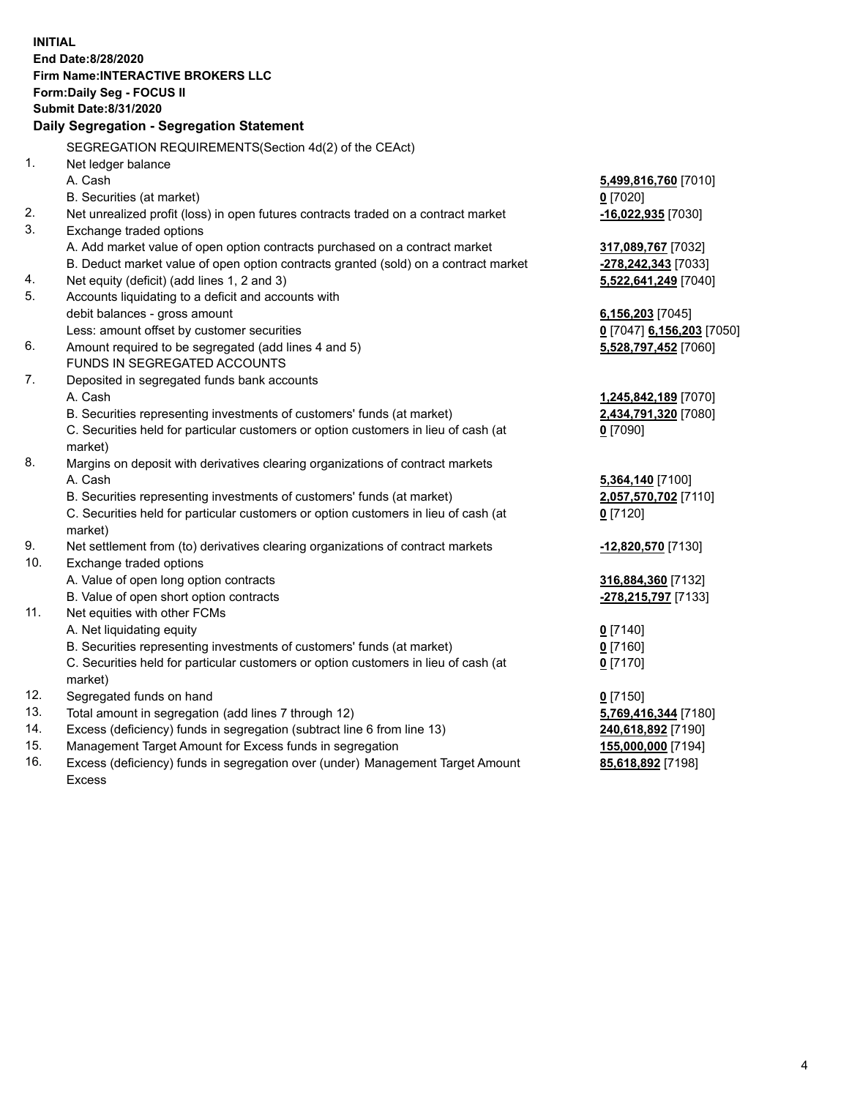**INITIAL End Date:8/28/2020 Firm Name:INTERACTIVE BROKERS LLC Form:Daily Seg - FOCUS II Submit Date:8/31/2020 Daily Segregation - Segregation Statement** SEGREGATION REQUIREMENTS(Section 4d(2) of the CEAct) 1. Net ledger balance A. Cash **5,499,816,760** [7010] B. Securities (at market) **0** [7020] 2. Net unrealized profit (loss) in open futures contracts traded on a contract market **-16,022,935** [7030] 3. Exchange traded options A. Add market value of open option contracts purchased on a contract market **317,089,767** [7032] B. Deduct market value of open option contracts granted (sold) on a contract market **-278,242,343** [7033] 4. Net equity (deficit) (add lines 1, 2 and 3) **5,522,641,249** [7040] 5. Accounts liquidating to a deficit and accounts with debit balances - gross amount **6,156,203** [7045] Less: amount offset by customer securities **0** [7047] **6,156,203** [7050] 6. Amount required to be segregated (add lines 4 and 5) **5,528,797,452** [7060] FUNDS IN SEGREGATED ACCOUNTS 7. Deposited in segregated funds bank accounts A. Cash **1,245,842,189** [7070] B. Securities representing investments of customers' funds (at market) **2,434,791,320** [7080] C. Securities held for particular customers or option customers in lieu of cash (at market) **0** [7090] 8. Margins on deposit with derivatives clearing organizations of contract markets A. Cash **5,364,140** [7100] B. Securities representing investments of customers' funds (at market) **2,057,570,702** [7110] C. Securities held for particular customers or option customers in lieu of cash (at market) **0** [7120] 9. Net settlement from (to) derivatives clearing organizations of contract markets **-12,820,570** [7130] 10. Exchange traded options A. Value of open long option contracts **316,884,360** [7132] B. Value of open short option contracts **-278,215,797** [7133] 11. Net equities with other FCMs A. Net liquidating equity **0** [7140] B. Securities representing investments of customers' funds (at market) **0** [7160] C. Securities held for particular customers or option customers in lieu of cash (at market) **0** [7170] 12. Segregated funds on hand **0** [7150] 13. Total amount in segregation (add lines 7 through 12) **5,769,416,344** [7180] 14. Excess (deficiency) funds in segregation (subtract line 6 from line 13) **240,618,892** [7190] 15. Management Target Amount for Excess funds in segregation **155,000,000** [7194] **85,618,892** [7198]

16. Excess (deficiency) funds in segregation over (under) Management Target Amount Excess